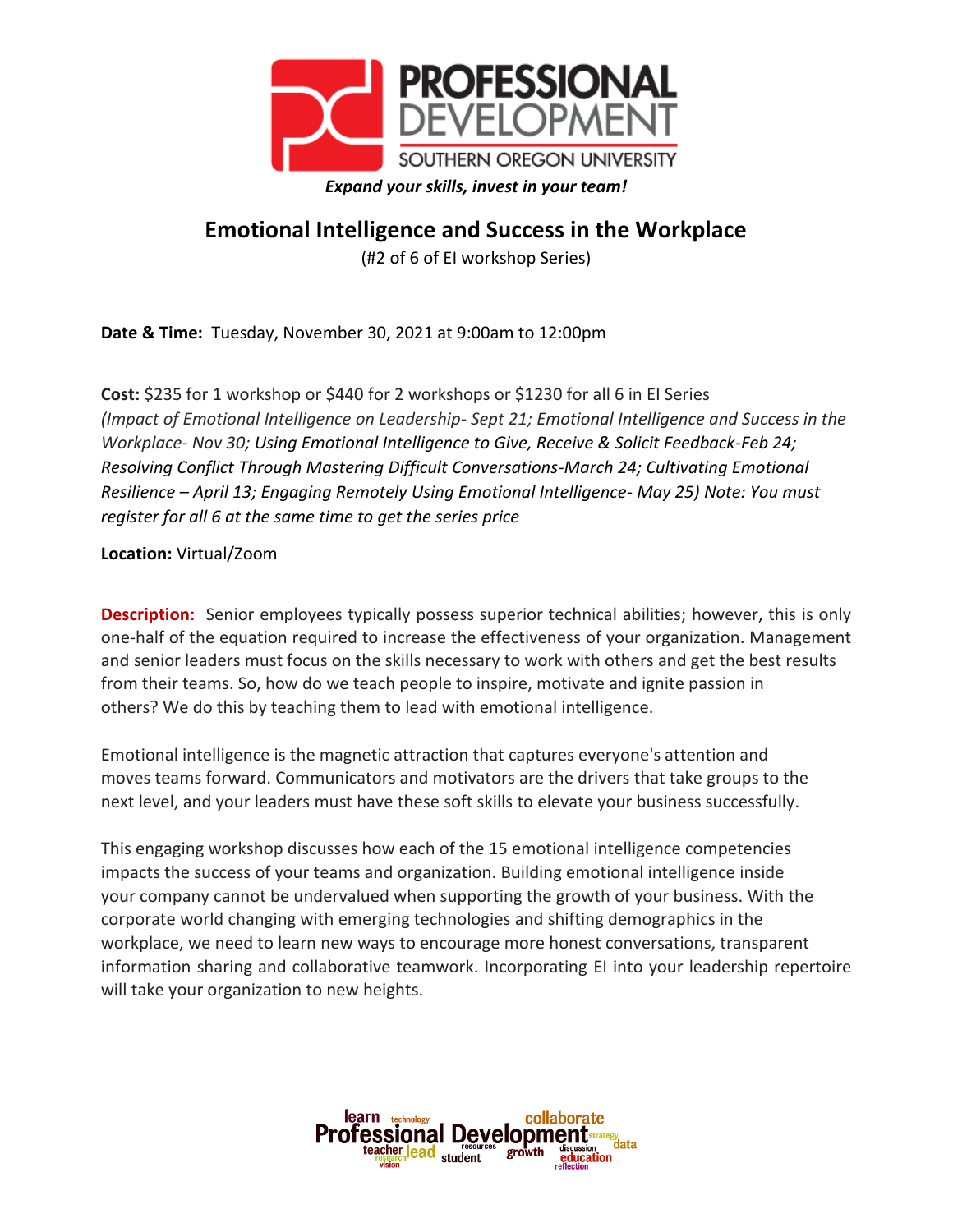

## **Emotional Intelligence and Success in the Workplace**

(#2 of 6 of EI workshop Series)

**Date & Time:** Tuesday, November 30, 2021 at 9:00am to 12:00pm

**Cost:** \$235 for 1 workshop or \$440 for 2 workshops or \$1230 for all 6 in EI Series *(Impact of Emotional Intelligence on Leadership- Sept 21; Emotional Intelligence and Success in the Workplace- Nov 30; Using Emotional Intelligence to Give, Receive & Solicit Feedback-Feb 24; Resolving Conflict Through Mastering Difficult Conversations-March 24; Cultivating Emotional Resilience – April 13; Engaging Remotely Using Emotional Intelligence- May 25) Note: You must register for all 6 at the same time to get the series price*

**Location:** Virtual/Zoom

**Description:** Senior employees typically possess superior technical abilities; however, this is only one-half of the equation required to increase the effectiveness of your organization. Management and senior leaders must focus on the skills necessary to work with others and get the best results from their teams. So, how do we teach people to inspire, motivate and ignite passion in others? We do this by teaching them to lead with emotional intelligence.

Emotional intelligence is the magnetic attraction that captures everyone's attention and moves teams forward. Communicators and motivators are the drivers that take groups to the next level, and your leaders must have these soft skills to elevate your business successfully.

This engaging workshop discusses how each of the 15 emotional intelligence competencies impacts the success of your teams and organization. Building emotional intelligence inside your company cannot be undervalued when supporting the growth of your business. With the corporate world changing with emerging technologies and shifting demographics in the workplace, we need to learn new ways to encourage more honest conversations, transparent information sharing and collaborative teamwork. Incorporating EI into your leadership repertoire will take your organization to new heights.